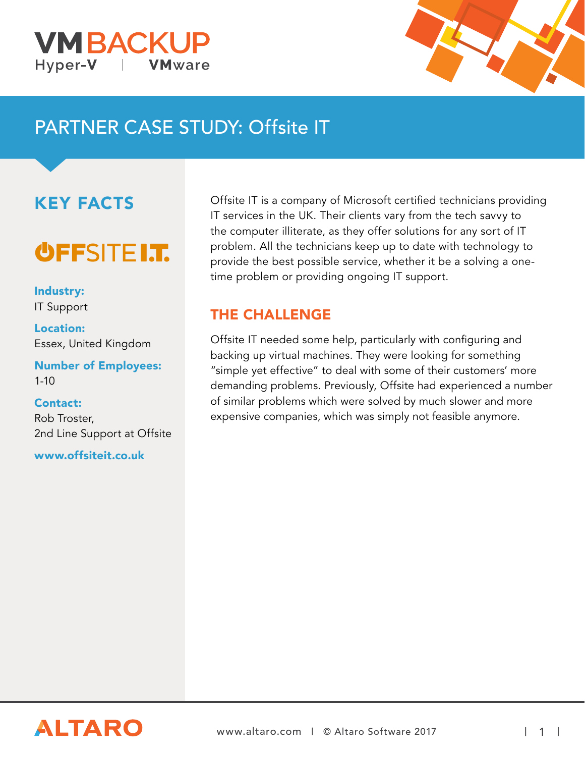



# PARTNER CASE STUDY: Offsite IT

## KEY FACTS

# **OFFSITE I.T.**

Industry: IT Support

Location: Essex, United Kingdom

Number of Employees: 1-10

#### Contact:

Rob Troster, 2nd Line Support at Offsite

www.offsiteit.co.uk

Offsite IT is a company of Microsoft certified technicians providing IT services in the UK. Their clients vary from the tech savvy to the computer illiterate, as they offer solutions for any sort of IT problem. All the technicians keep up to date with technology to provide the best possible service, whether it be a solving a onetime problem or providing ongoing IT support.

#### THE CHALLENGE

Offsite IT needed some help, particularly with configuring and backing up virtual machines. They were looking for something "simple yet effective" to deal with some of their customers' more demanding problems. Previously, Offsite had experienced a number of similar problems which were solved by much slower and more expensive companies, which was simply not feasible anymore.